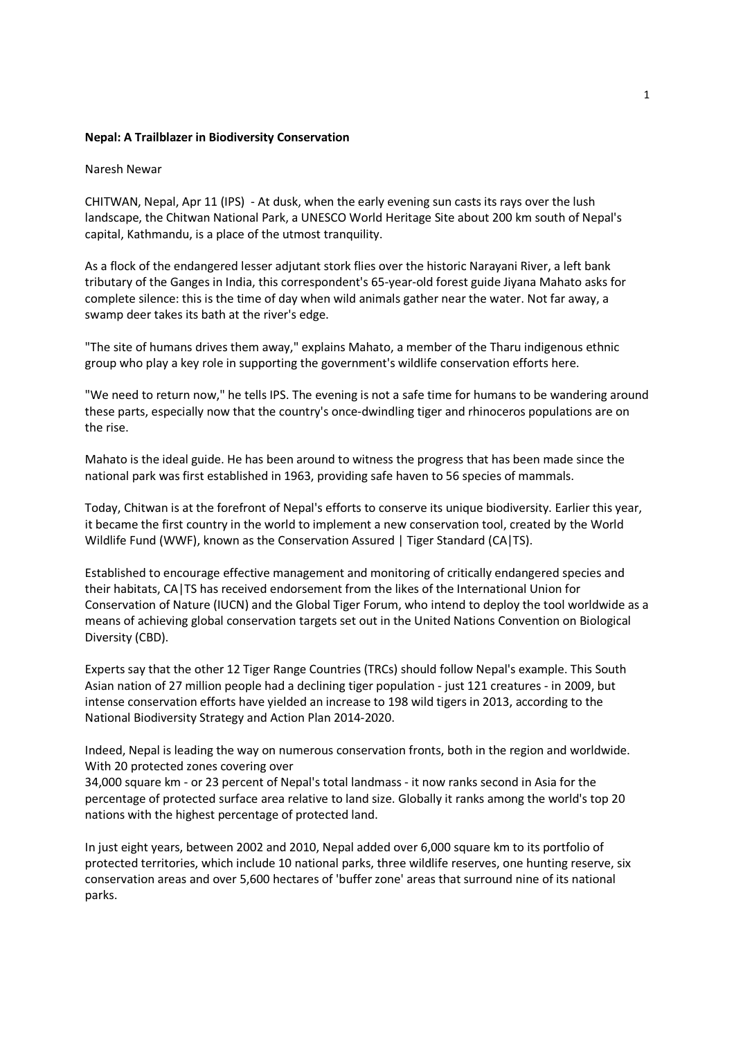## Nepal: A Trailblazer in Biodiversity Conservation

## Naresh Newar

CHITWAN, Nepal, Apr 11 (IPS) - At dusk, when the early evening sun casts its rays over the lush landscape, the Chitwan National Park, a UNESCO World Heritage Site about 200 km south of Nepal's capital, Kathmandu, is a place of the utmost tranquility.

As a flock of the endangered lesser adjutant stork flies over the historic Narayani River, a left bank tributary of the Ganges in India, this correspondent's 65-year-old forest guide Jiyana Mahato asks for complete silence: this is the time of day when wild animals gather near the water. Not far away, a swamp deer takes its bath at the river's edge.

"The site of humans drives them away," explains Mahato, a member of the Tharu indigenous ethnic group who play a key role in supporting the government's wildlife conservation efforts here.

"We need to return now," he tells IPS. The evening is not a safe time for humans to be wandering around these parts, especially now that the country's once-dwindling tiger and rhinoceros populations are on the rise.

Mahato is the ideal guide. He has been around to witness the progress that has been made since the national park was first established in 1963, providing safe haven to 56 species of mammals.

Today, Chitwan is at the forefront of Nepal's efforts to conserve its unique biodiversity. Earlier this year, it became the first country in the world to implement a new conservation tool, created by the World Wildlife Fund (WWF), known as the Conservation Assured | Tiger Standard (CA|TS).

Established to encourage effective management and monitoring of critically endangered species and their habitats, CA|TS has received endorsement from the likes of the International Union for Conservation of Nature (IUCN) and the Global Tiger Forum, who intend to deploy the tool worldwide as a means of achieving global conservation targets set out in the United Nations Convention on Biological Diversity (CBD).

Experts say that the other 12 Tiger Range Countries (TRCs) should follow Nepal's example. This South Asian nation of 27 million people had a declining tiger population - just 121 creatures - in 2009, but intense conservation efforts have yielded an increase to 198 wild tigers in 2013, according to the National Biodiversity Strategy and Action Plan 2014-2020.

Indeed, Nepal is leading the way on numerous conservation fronts, both in the region and worldwide. With 20 protected zones covering over

34,000 square km - or 23 percent of Nepal's total landmass - it now ranks second in Asia for the percentage of protected surface area relative to land size. Globally it ranks among the world's top 20 nations with the highest percentage of protected land.

In just eight years, between 2002 and 2010, Nepal added over 6,000 square km to its portfolio of protected territories, which include 10 national parks, three wildlife reserves, one hunting reserve, six conservation areas and over 5,600 hectares of 'buffer zone' areas that surround nine of its national parks.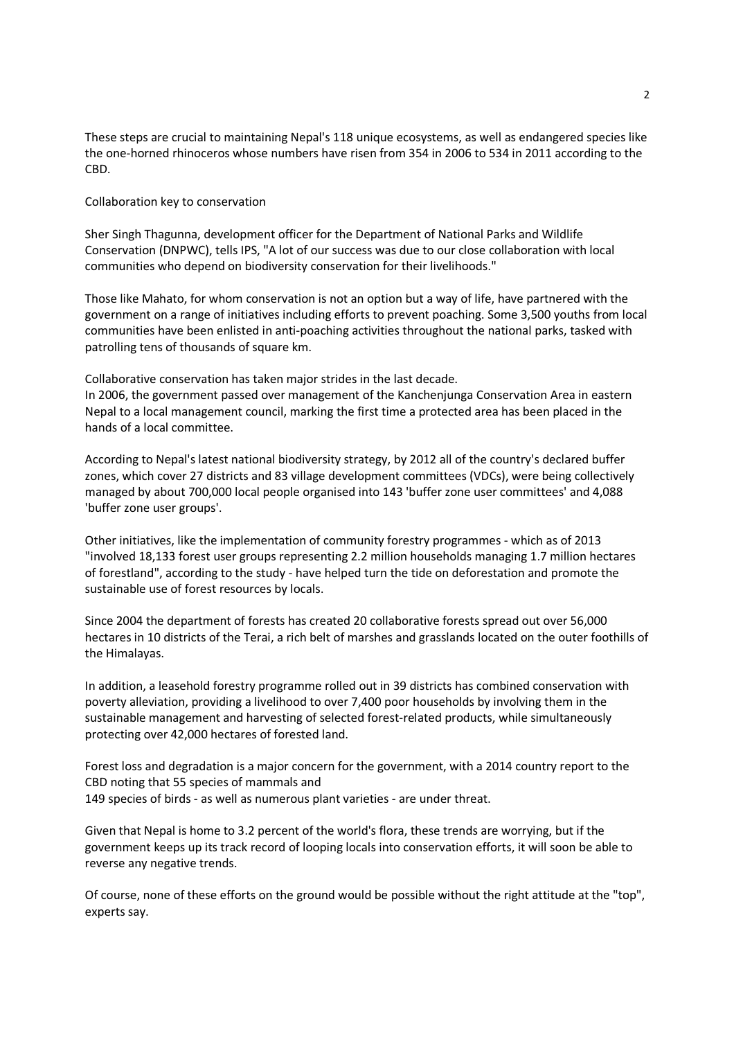These steps are crucial to maintaining Nepal's 118 unique ecosystems, as well as endangered species like the one-horned rhinoceros whose numbers have risen from 354 in 2006 to 534 in 2011 according to the CBD.

Collaboration key to conservation

Sher Singh Thagunna, development officer for the Department of National Parks and Wildlife Conservation (DNPWC), tells IPS, "A lot of our success was due to our close collaboration with local communities who depend on biodiversity conservation for their livelihoods."

Those like Mahato, for whom conservation is not an option but a way of life, have partnered with the government on a range of initiatives including efforts to prevent poaching. Some 3,500 youths from local communities have been enlisted in anti-poaching activities throughout the national parks, tasked with patrolling tens of thousands of square km.

Collaborative conservation has taken major strides in the last decade. In 2006, the government passed over management of the Kanchenjunga Conservation Area in eastern Nepal to a local management council, marking the first time a protected area has been placed in the hands of a local committee.

According to Nepal's latest national biodiversity strategy, by 2012 all of the country's declared buffer zones, which cover 27 districts and 83 village development committees (VDCs), were being collectively managed by about 700,000 local people organised into 143 'buffer zone user committees' and 4,088 'buffer zone user groups'.

Other initiatives, like the implementation of community forestry programmes - which as of 2013 "involved 18,133 forest user groups representing 2.2 million households managing 1.7 million hectares of forestland", according to the study - have helped turn the tide on deforestation and promote the sustainable use of forest resources by locals.

Since 2004 the department of forests has created 20 collaborative forests spread out over 56,000 hectares in 10 districts of the Terai, a rich belt of marshes and grasslands located on the outer foothills of the Himalayas.

In addition, a leasehold forestry programme rolled out in 39 districts has combined conservation with poverty alleviation, providing a livelihood to over 7,400 poor households by involving them in the sustainable management and harvesting of selected forest-related products, while simultaneously protecting over 42,000 hectares of forested land.

Forest loss and degradation is a major concern for the government, with a 2014 country report to the CBD noting that 55 species of mammals and 149 species of birds - as well as numerous plant varieties - are under threat.

Given that Nepal is home to 3.2 percent of the world's flora, these trends are worrying, but if the government keeps up its track record of looping locals into conservation efforts, it will soon be able to reverse any negative trends.

Of course, none of these efforts on the ground would be possible without the right attitude at the "top", experts say.